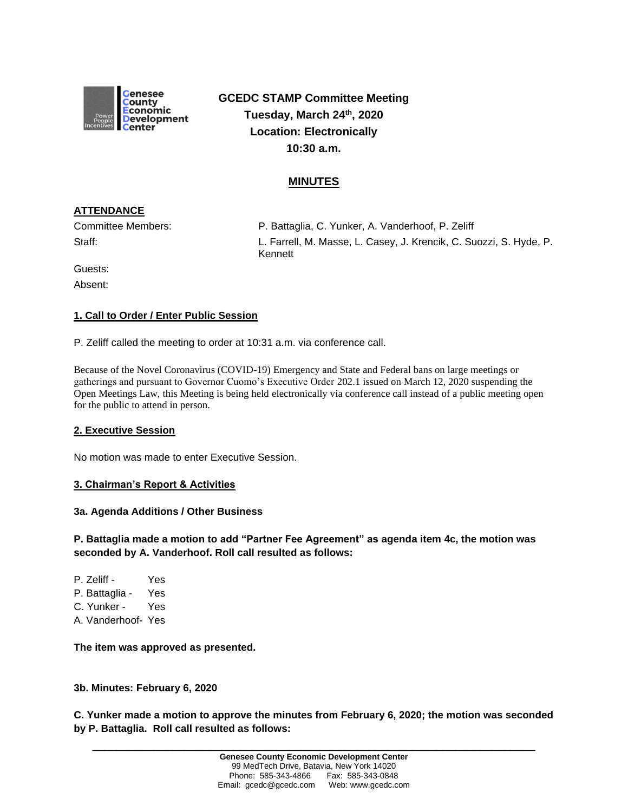

**GCEDC STAMP Committee Meeting Tuesday, March 24th, 2020 Location: Electronically 10:30 a.m.**

# **MINUTES**

# **ATTENDANCE**

Committee Members: P. Battaglia, C. Yunker, A. Vanderhoof, P. Zeliff Staff: L. Farrell, M. Masse, L. Casey, J. Krencik, C. Suozzi, S. Hyde, P. Kennett

Guests:

Absent:

# **1. Call to Order / Enter Public Session**

P. Zeliff called the meeting to order at 10:31 a.m. via conference call.

Because of the Novel Coronavirus (COVID-19) Emergency and State and Federal bans on large meetings or gatherings and pursuant to Governor Cuomo's Executive Order 202.1 issued on March 12, 2020 suspending the Open Meetings Law, this Meeting is being held electronically via conference call instead of a public meeting open for the public to attend in person.

## **2. Executive Session**

No motion was made to enter Executive Session.

## **3. Chairman's Report & Activities**

#### **3a. Agenda Additions / Other Business**

**P. Battaglia made a motion to add "Partner Fee Agreement" as agenda item 4c, the motion was seconded by A. Vanderhoof. Roll call resulted as follows:** 

P. Zeliff - Yes P. Battaglia - Yes C. Yunker - Yes A. Vanderhoof- Yes

**The item was approved as presented.**

#### **3b. Minutes: February 6, 2020**

**C. Yunker made a motion to approve the minutes from February 6, 2020; the motion was seconded by P. Battaglia. Roll call resulted as follows:**

**\_\_\_\_\_\_\_\_\_\_\_\_\_\_\_\_\_\_\_\_\_\_\_\_\_\_\_\_\_\_\_\_\_\_\_\_\_\_\_\_\_\_\_\_\_\_\_\_\_\_\_\_\_\_\_\_\_\_\_\_\_\_\_\_\_\_\_\_\_\_\_\_**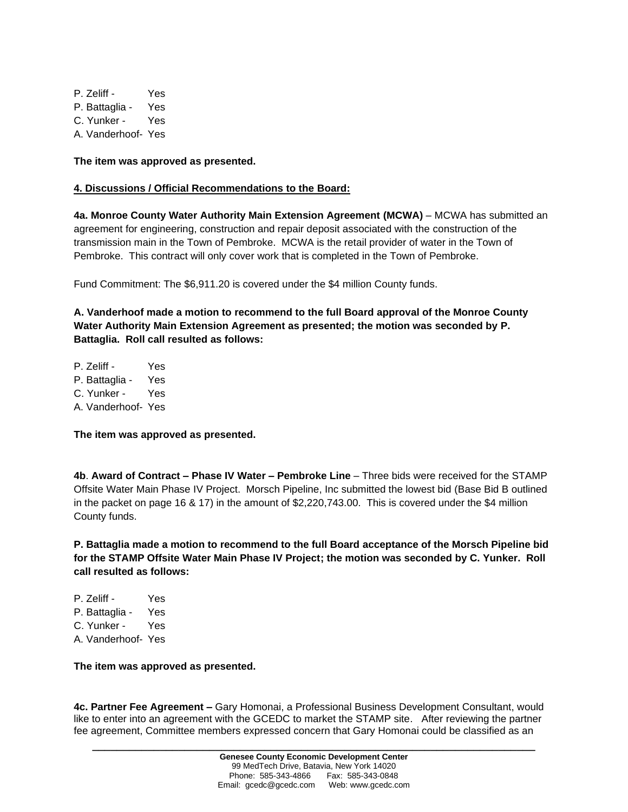P. Zeliff - Yes P. Battaglia - Yes C. Yunker - Yes A. Vanderhoof- Yes

**The item was approved as presented.**

### **4. Discussions / Official Recommendations to the Board:**

**4a. Monroe County Water Authority Main Extension Agreement (MCWA)** – MCWA has submitted an agreement for engineering, construction and repair deposit associated with the construction of the transmission main in the Town of Pembroke. MCWA is the retail provider of water in the Town of Pembroke. This contract will only cover work that is completed in the Town of Pembroke.

Fund Commitment: The \$6,911.20 is covered under the \$4 million County funds.

**A. Vanderhoof made a motion to recommend to the full Board approval of the Monroe County Water Authority Main Extension Agreement as presented; the motion was seconded by P. Battaglia. Roll call resulted as follows:**

P. Zeliff - Yes P. Battaglia - Yes C. Yunker - Yes A. Vanderhoof- Yes

**The item was approved as presented.**

**4b**. **Award of Contract – Phase IV Water – Pembroke Line** – Three bids were received for the STAMP Offsite Water Main Phase IV Project. Morsch Pipeline, Inc submitted the lowest bid (Base Bid B outlined in the packet on page 16 & 17) in the amount of \$2,220,743.00. This is covered under the \$4 million County funds.

**P. Battaglia made a motion to recommend to the full Board acceptance of the Morsch Pipeline bid for the STAMP Offsite Water Main Phase IV Project; the motion was seconded by C. Yunker. Roll call resulted as follows:**

P. Zeliff - Yes P. Battaglia - Yes C. Yunker - Yes A. Vanderhoof- Yes

**The item was approved as presented.**

**4c. Partner Fee Agreement –** Gary Homonai, a Professional Business Development Consultant, would like to enter into an agreement with the GCEDC to market the STAMP site. After reviewing the partner fee agreement, Committee members expressed concern that Gary Homonai could be classified as an

**\_\_\_\_\_\_\_\_\_\_\_\_\_\_\_\_\_\_\_\_\_\_\_\_\_\_\_\_\_\_\_\_\_\_\_\_\_\_\_\_\_\_\_\_\_\_\_\_\_\_\_\_\_\_\_\_\_\_\_\_\_\_\_\_\_\_\_\_\_\_\_\_**